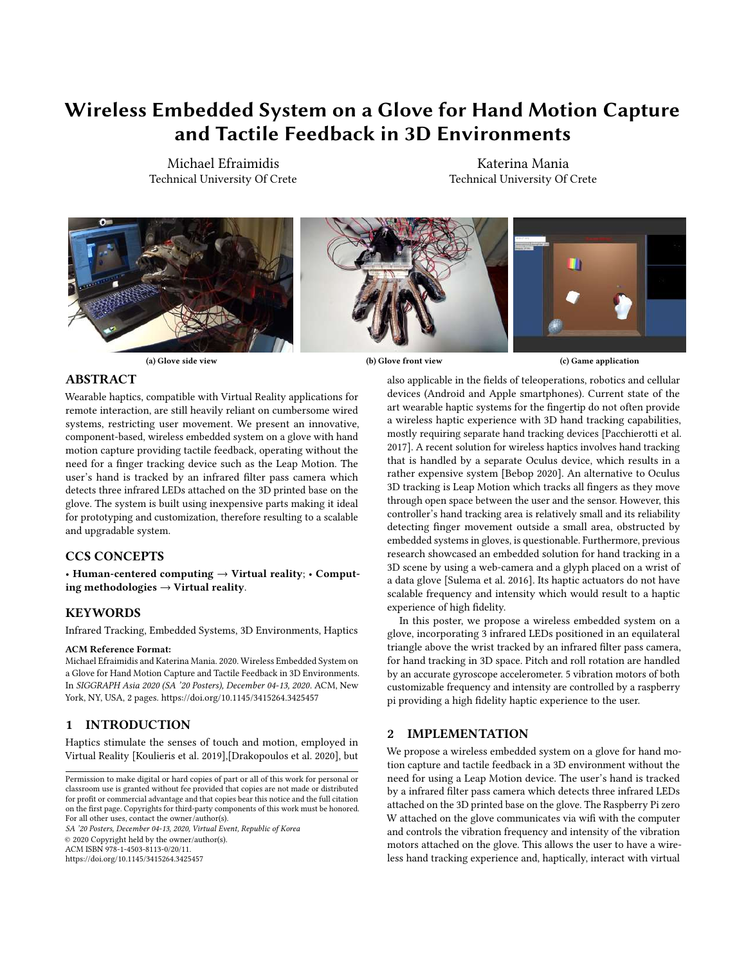# Wireless Embedded System on a Glove for Hand Motion Capture and Tactile Feedback in 3D Environments

Michael Efraimidis Technical University Of Crete

Katerina Mania Technical University Of Crete





#### ABSTRACT

Wearable haptics, compatible with Virtual Reality applications for remote interaction, are still heavily reliant on cumbersome wired systems, restricting user movement. We present an innovative, component-based, wireless embedded system on a glove with hand motion capture providing tactile feedback, operating without the need for a finger tracking device such as the Leap Motion. The user's hand is tracked by an infrared filter pass camera which detects three infrared LEDs attached on the 3D printed base on the glove. The system is built using inexpensive parts making it ideal for prototyping and customization, therefore resulting to a scalable and upgradable system.

## CCS CONCEPTS

• Human-centered computing  $\rightarrow$  Virtual reality; • Computing methodologies  $\rightarrow$  Virtual reality.

## KEYWORDS

Infrared Tracking, Embedded Systems, 3D Environments, Haptics

#### ACM Reference Format:

Michael Efraimidis and Katerina Mania. 2020. Wireless Embedded System on a Glove for Hand Motion Capture and Tactile Feedback in 3D Environments. In SIGGRAPH Asia 2020 (SA '20 Posters), December 04-13, 2020. ACM, New York, NY, USA, [2](#page-1-0) pages.<https://doi.org/10.1145/3415264.3425457>

# 1 INTRODUCTION

Haptics stimulate the senses of touch and motion, employed in Virtual Reality [\[Koulieris et al.](#page-1-1) [2019\]](#page-1-1),[\[Drakopoulos et al.](#page-1-2) [2020\]](#page-1-2), but

SA '20 Posters, December 04-13, 2020, Virtual Event, Republic of Korea © 2020 Copyright held by the owner/author(s). ACM ISBN 978-1-4503-8113-0/20/11.

<https://doi.org/10.1145/3415264.3425457>

also applicable in the fields of teleoperations, robotics and cellular devices (Android and Apple smartphones). Current state of the art wearable haptic systems for the fingertip do not often provide a wireless haptic experience with 3D hand tracking capabilities, mostly requiring separate hand tracking devices [\[Pacchierotti et al.](#page-1-3) [2017\]](#page-1-3). A recent solution for wireless haptics involves hand tracking that is handled by a separate Oculus device, which results in a rather expensive system [\[Bebop 2020\]](#page-1-4). An alternative to Oculus 3D tracking is Leap Motion which tracks all fingers as they move through open space between the user and the sensor. However, this controller's hand tracking area is relatively small and its reliability detecting finger movement outside a small area, obstructed by embedded systems in gloves, is questionable. Furthermore, previous research showcased an embedded solution for hand tracking in a 3D scene by using a web-camera and a glyph placed on a wrist of a data glove [\[Sulema et al.](#page-1-5) [2016\]](#page-1-5). Its haptic actuators do not have scalable frequency and intensity which would result to a haptic experience of high fidelity.

In this poster, we propose a wireless embedded system on a glove, incorporating 3 infrared LEDs positioned in an equilateral triangle above the wrist tracked by an infrared filter pass camera, for hand tracking in 3D space. Pitch and roll rotation are handled by an accurate gyroscope accelerometer. 5 vibration motors of both customizable frequency and intensity are controlled by a raspberry pi providing a high fidelity haptic experience to the user.

# 2 IMPLEMENTATION

We propose a wireless embedded system on a glove for hand motion capture and tactile feedback in a 3D environment without the need for using a Leap Motion device. The user's hand is tracked by a infrared filter pass camera which detects three infrared LEDs attached on the 3D printed base on the glove. The Raspberry Pi zero W attached on the glove communicates via wifi with the computer and controls the vibration frequency and intensity of the vibration motors attached on the glove. This allows the user to have a wireless hand tracking experience and, haptically, interact with virtual

Permission to make digital or hard copies of part or all of this work for personal or classroom use is granted without fee provided that copies are not made or distributed for profit or commercial advantage and that copies bear this notice and the full citation on the first page. Copyrights for third-party components of this work must be honored. For all other uses, contact the owner/author(s).